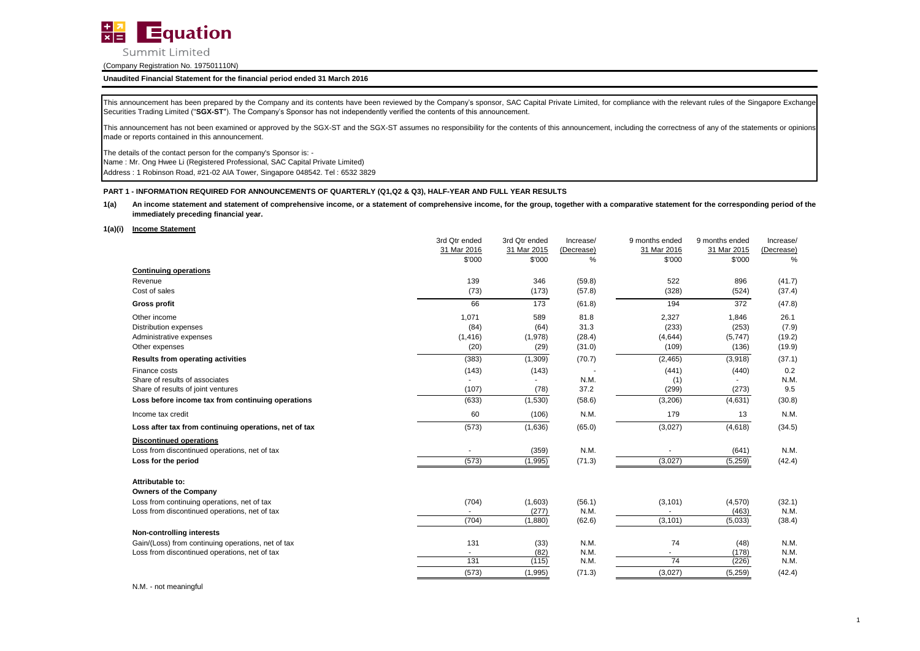

### **Unaudited Financial Statement for the financial period ended 31 March 2016**

This announcement has been prepared by the Company and its contents have been reviewed by the Company's sponsor, SAC Capital Private Limited, for compliance with the relevant rules of the Singapore Exchange Securities Trading Limited ("**SGX-ST**"). The Company's Sponsor has not independently verified the contents of this announcement.

This announcement has not been examined or approved by the SGX-ST and the SGX-ST assumes no responsibility for the contents of this announcement, including the correctness of any of the statements or opinions made or reports contained in this announcement.

The details of the contact person for the company's Sponsor is: -

Name : Mr. Ong Hwee Li (Registered Professional, SAC Capital Private Limited)

Address : 1 Robinson Road, #21-02 AIA Tower, Singapore 048542. Tel : 6532 3829

### **PART 1 - INFORMATION REQUIRED FOR ANNOUNCEMENTS OF QUARTERLY (Q1,Q2 & Q3), HALF-YEAR AND FULL YEAR RESULTS**

#### **1(a)** An income statement and statement of comprehensive income, or a statement of comprehensive income, for the group, together with a comparative statement for the corresponding period of the **immediately preceding financial year.**

#### **1(a)(i) Income Statement**

|                                                       | 3rd Qtr ended | 3rd Qtr ended | Increase/  | 9 months ended | 9 months ended | Increase/  |
|-------------------------------------------------------|---------------|---------------|------------|----------------|----------------|------------|
|                                                       | 31 Mar 2016   | 31 Mar 2015   | (Decrease) | 31 Mar 2016    | 31 Mar 2015    | (Decrease) |
|                                                       | \$'000        | \$'000        | %          | \$'000         | \$'000         | %          |
| <b>Continuing operations</b>                          |               |               |            |                |                |            |
| Revenue                                               | 139           | 346           | (59.8)     | 522            | 896            | (41.7)     |
| Cost of sales                                         | (73)          | (173)         | (57.8)     | (328)          | (524)          | (37.4)     |
| <b>Gross profit</b>                                   | 66            | 173           | (61.8)     | 194            | 372            | (47.8)     |
| Other income                                          | 1,071         | 589           | 81.8       | 2,327          | 1,846          | 26.1       |
| <b>Distribution expenses</b>                          | (84)          | (64)          | 31.3       | (233)          | (253)          | (7.9)      |
| Administrative expenses                               | (1, 416)      | (1,978)       | (28.4)     | (4,644)        | (5,747)        | (19.2)     |
| Other expenses                                        | (20)          | (29)          | (31.0)     | (109)          | (136)          | (19.9)     |
| <b>Results from operating activities</b>              | (383)         | (1,309)       | (70.7)     | (2, 465)       | (3,918)        | (37.1)     |
| Finance costs                                         | (143)         | (143)         |            | (441)          | (440)          | 0.2        |
| Share of results of associates                        |               |               | N.M.       | (1)            |                | N.M.       |
| Share of results of joint ventures                    | (107)         | (78)          | 37.2       | (299)          | (273)          | 9.5        |
| Loss before income tax from continuing operations     | (633)         | (1,530)       | (58.6)     | (3, 206)       | (4,631)        | (30.8)     |
| Income tax credit                                     | 60            | (106)         | N.M.       | 179            | 13             | N.M.       |
| Loss after tax from continuing operations, net of tax | (573)         | (1,636)       | (65.0)     | (3,027)        | (4,618)        | (34.5)     |
| <b>Discontinued operations</b>                        |               |               |            |                |                |            |
| Loss from discontinued operations, net of tax         |               | (359)         | N.M.       |                | (641)          | N.M.       |
| Loss for the period                                   | (573)         | (1,995)       | (71.3)     | (3,027)        | (5,259)        | (42.4)     |
| Attributable to:                                      |               |               |            |                |                |            |
| <b>Owners of the Company</b>                          |               |               |            |                |                |            |
| Loss from continuing operations, net of tax           | (704)         | (1,603)       | (56.1)     | (3, 101)       | (4,570)        | (32.1)     |
| Loss from discontinued operations, net of tax         |               | (277)         | N.M.       |                | (463)          | N.M.       |
|                                                       | (704)         | (1,880)       | (62.6)     | (3, 101)       | (5,033)        | (38.4)     |
| Non-controlling interests                             |               |               |            |                |                |            |
| Gain/(Loss) from continuing operations, net of tax    | 131           | (33)          | N.M.       | 74             | (48)           | N.M.       |
| Loss from discontinued operations, net of tax         | $\sim$        | (82)          | N.M.       | $\sim$         | (178)          | N.M.       |
|                                                       | 131           | (115)         | N.M.       | 74             | (226)          | N.M.       |
|                                                       | (573)         | (1,995)       | (71.3)     | (3,027)        | (5,259)        | (42.4)     |
|                                                       |               |               |            |                |                |            |

N.M. - not meaningful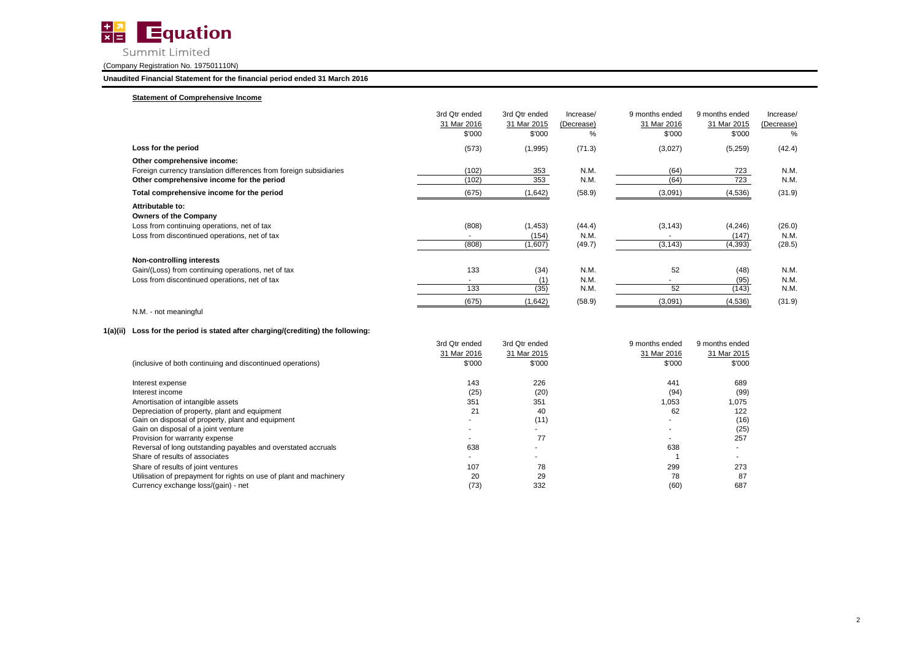

**Unaudited Financial Statement for the financial period ended 31 March 2016**

# **Statement of Comprehensive Income**

|                                                                                                                                                  | 3rd Qtr ended<br>31 Mar 2016<br>\$'000 | 3rd Qtr ended<br>31 Mar 2015<br>\$'000 | Increase/<br>(Decrease)<br>% | 9 months ended<br>31 Mar 2016<br>\$'000 | 9 months ended<br>31 Mar 2015<br>\$'000 | Increase/<br>(Decrease)<br>% |
|--------------------------------------------------------------------------------------------------------------------------------------------------|----------------------------------------|----------------------------------------|------------------------------|-----------------------------------------|-----------------------------------------|------------------------------|
| Loss for the period                                                                                                                              | (573)                                  | (1,995)                                | (71.3)                       | (3,027)                                 | (5,259)                                 | (42.4)                       |
| Other comprehensive income:<br>Foreign currency translation differences from foreign subsidiaries<br>Other comprehensive income for the period   | (102)<br>(102)                         | 353<br>353                             | N.M.<br>N.M.                 | (64)<br>(64)                            | 723<br>723                              | N.M.<br>N.M.                 |
| Total comprehensive income for the period                                                                                                        | (675)                                  | (1,642)                                | (58.9)                       | (3,091)                                 | (4,536)                                 | (31.9)                       |
| Attributable to:<br><b>Owners of the Company</b><br>Loss from continuing operations, net of tax<br>Loss from discontinued operations, net of tax | (808)<br>$\sim$<br>(808)               | (1, 453)<br>(154)<br>(1,607)           | (44.4)<br>N.M.<br>(49.7)     | (3, 143)<br>$\blacksquare$<br>(3, 143)  | (4,246)<br>(147)<br>(4, 393)            | (26.0)<br>N.M.<br>(28.5)     |
| Non-controlling interests<br>Gain/(Loss) from continuing operations, net of tax<br>Loss from discontinued operations, net of tax                 | 133<br>$\sim$<br>133                   | (34)<br>(1)<br>(35)                    | N.M.<br>N.M.<br>N.M.         | 52<br>$\overline{\phantom{a}}$<br>52    | (48)<br>(95)<br>(143)                   | N.M.<br>N.M.<br>N.M.         |
|                                                                                                                                                  | (675)                                  | (1,642)                                | (58.9)                       | (3,091)                                 | (4,536)                                 | (31.9)                       |

# N.M. - not meaningful

# **1(a)(ii) Loss for the period is stated after charging/(crediting) the following:**

|                                                                    | 3rd Qtr ended | 3rd Qtr ended | 9 months ended | 9 months ended |
|--------------------------------------------------------------------|---------------|---------------|----------------|----------------|
|                                                                    | 31 Mar 2016   | 31 Mar 2015   | 31 Mar 2016    | 31 Mar 2015    |
| (inclusive of both continuing and discontinued operations)         | \$'000        | \$'000        | \$'000         | \$'000         |
| Interest expense                                                   | 143           | 226           | 441            | 689            |
| Interest income                                                    | (25)          | (20)          | (94)           | (99)           |
| Amortisation of intangible assets                                  | 351           | 351           | 1,053          | 1,075          |
| Depreciation of property, plant and equipment                      | 21            | 40            | 62             | 122            |
| Gain on disposal of property, plant and equipment                  |               | (11)          |                | (16)           |
| Gain on disposal of a joint venture                                |               |               |                | (25)           |
| Provision for warranty expense                                     |               | 77            |                | 257            |
| Reversal of long outstanding payables and overstated accruals      | 638           |               | 638            |                |
| Share of results of associates                                     |               |               |                |                |
| Share of results of joint ventures                                 | 107           | 78            | 299            | 273            |
| Utilisation of prepayment for rights on use of plant and machinery | 20            | 29            | 78             | 87             |
| Currency exchange loss/(gain) - net                                | (73)          | 332           | (60)           | 687            |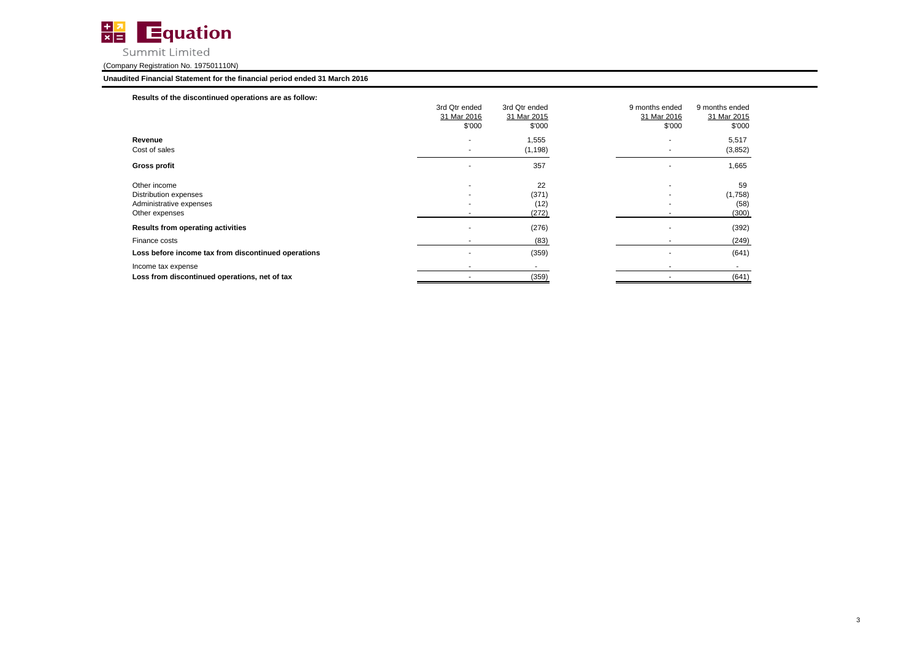

# **Unaudited Financial Statement for the financial period ended 31 March 2016**

| Results of the discontinued operations are as follow: |                          |               |                |                |
|-------------------------------------------------------|--------------------------|---------------|----------------|----------------|
|                                                       | 3rd Qtr ended            | 3rd Qtr ended | 9 months ended | 9 months ended |
|                                                       | 31 Mar 2016              | 31 Mar 2015   | 31 Mar 2016    | 31 Mar 2015    |
|                                                       | \$'000                   | \$'000        | \$'000         | \$'000         |
| Revenue                                               | $\overline{\phantom{a}}$ | 1,555         |                | 5,517          |
| Cost of sales                                         | $\overline{\phantom{a}}$ | (1, 198)      | $\overline{a}$ | (3,852)        |
| <b>Gross profit</b>                                   |                          | 357           |                | 1,665          |
| Other income                                          | ٠                        | 22            |                | 59             |
| Distribution expenses                                 |                          | (371)         |                | (1,758)        |
| Administrative expenses                               |                          | (12)          |                | (58)           |
| Other expenses                                        |                          | (272)         |                | (300)          |
| Results from operating activities                     | ۰                        | (276)         |                | (392)          |
| Finance costs                                         |                          | (83)          |                | (249)          |
| Loss before income tax from discontinued operations   |                          | (359)         |                | (641)          |
| Income tax expense                                    | ۰                        |               |                | ۰              |
| Loss from discontinued operations, net of tax         | ۰                        | (359)         |                | (641)          |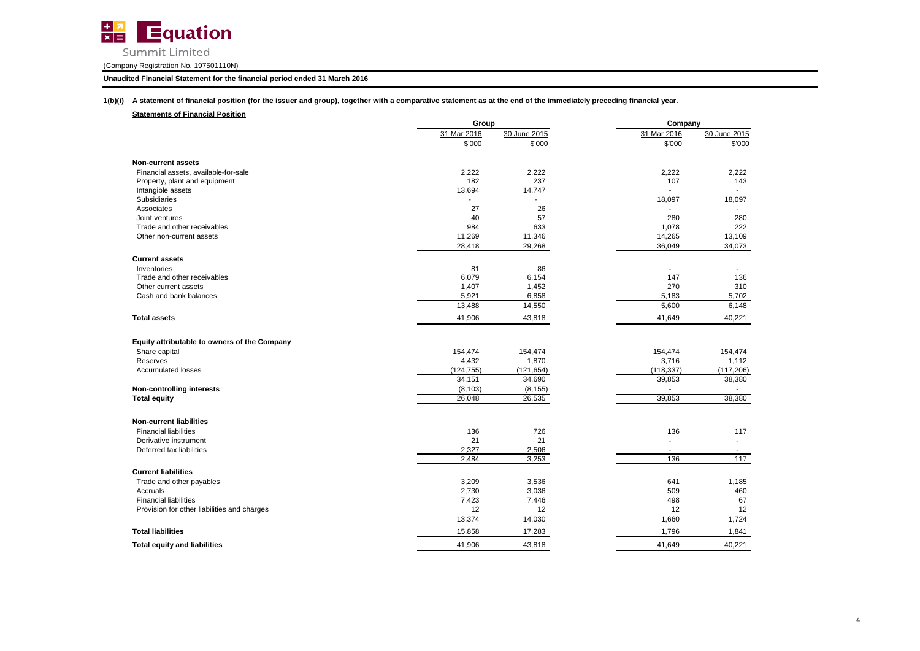

# **Unaudited Financial Statement for the financial period ended 31 March 2016**

**1(b)(i) A statement of financial position (for the issuer and group), together with a comparative statement as at the end of the immediately preceding financial year.**

# **Statements of Financial Position**

|                                              | Group       |              | Company                  |              |  |
|----------------------------------------------|-------------|--------------|--------------------------|--------------|--|
|                                              | 31 Mar 2016 | 30 June 2015 | 31 Mar 2016              | 30 June 2015 |  |
|                                              | \$'000      | \$'000       | \$'000                   | \$'000       |  |
| <b>Non-current assets</b>                    |             |              |                          |              |  |
| Financial assets, available-for-sale         | 2,222       | 2,222        | 2,222                    | 2,222        |  |
| Property, plant and equipment                | 182         | 237          | 107                      | 143          |  |
| Intangible assets                            | 13,694      | 14,747       |                          |              |  |
| Subsidiaries                                 |             |              | 18,097                   | 18,097       |  |
| Associates                                   | 27          | 26           |                          |              |  |
| Joint ventures                               | 40          | 57           | 280                      | 280          |  |
| Trade and other receivables                  | 984         | 633          | 1,078                    | 222          |  |
| Other non-current assets                     | 11,269      | 11,346       | 14,265                   | 13,109       |  |
|                                              | 28,418      | 29,268       | 36,049                   | 34,073       |  |
| <b>Current assets</b>                        |             |              |                          |              |  |
| Inventories                                  | 81          | 86           |                          |              |  |
| Trade and other receivables                  | 6,079       | 6,154        | 147                      | 136          |  |
| Other current assets                         | 1,407       | 1,452        | 270                      | 310          |  |
| Cash and bank balances                       | 5,921       | 6,858        | 5,183                    | 5,702        |  |
|                                              | 13,488      | 14,550       | 5,600                    | 6,148        |  |
| <b>Total assets</b>                          | 41,906      | 43,818       | 41,649                   | 40,221       |  |
| Equity attributable to owners of the Company |             |              |                          |              |  |
| Share capital                                | 154,474     | 154,474      | 154,474                  | 154,474      |  |
| Reserves                                     | 4,432       | 1,870        | 3,716                    | 1,112        |  |
| <b>Accumulated losses</b>                    | (124, 755)  | (121, 654)   | (118, 337)               | (117, 206)   |  |
|                                              | 34,151      | 34,690       | 39,853                   | 38,380       |  |
| <b>Non-controlling interests</b>             | (8, 103)    | (8, 155)     |                          |              |  |
| <b>Total equity</b>                          | 26,048      | 26,535       | 39,853                   | 38,380       |  |
|                                              |             |              |                          |              |  |
| <b>Non-current liabilities</b>               |             |              |                          |              |  |
| <b>Financial liabilities</b>                 | 136         | 726          | 136                      | 117          |  |
| Derivative instrument                        | 21          | 21           |                          |              |  |
| Deferred tax liabilities                     | 2.327       | 2,506        | $\overline{\phantom{a}}$ | $\sim$       |  |
|                                              | 2,484       | 3,253        | 136                      | 117          |  |
| <b>Current liabilities</b>                   |             |              |                          |              |  |
| Trade and other payables                     | 3,209       | 3,536        | 641                      | 1,185        |  |
| Accruals                                     | 2,730       | 3,036        | 509                      | 460          |  |
| <b>Financial liabilities</b>                 | 7,423       | 7,446        | 498                      | 67           |  |
| Provision for other liabilities and charges  | 12          | 12           | 12                       | 12           |  |
|                                              | 13,374      | 14,030       | 1,660                    | 1,724        |  |
| <b>Total liabilities</b>                     | 15,858      | 17,283       | 1,796                    | 1,841        |  |
| <b>Total equity and liabilities</b>          | 41,906      | 43,818       | 41.649                   | 40,221       |  |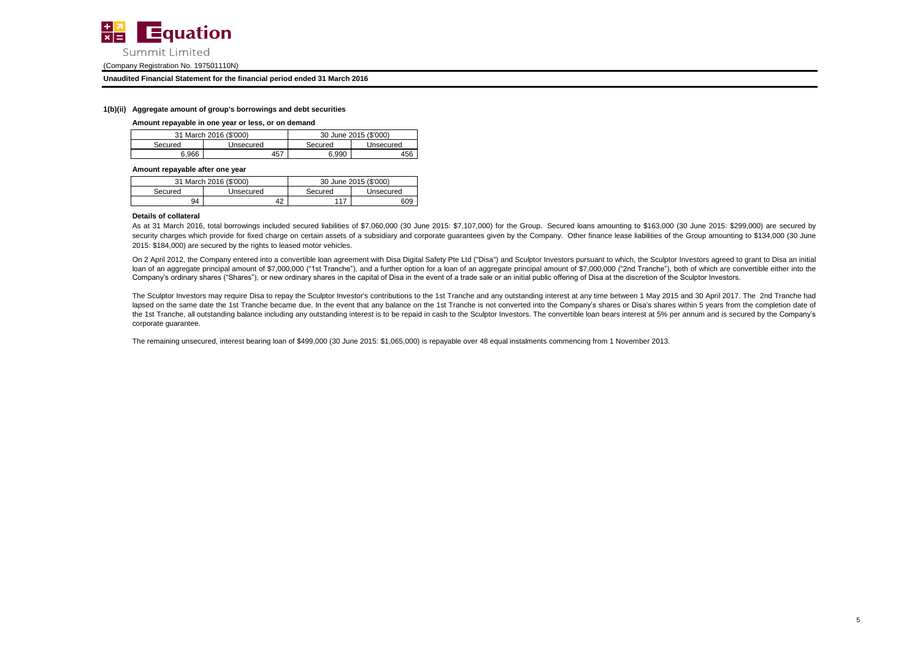

#### **Unaudited Financial Statement for the financial period ended 31 March 2016**

#### **1(b)(ii) Aggregate amount of group's borrowings and debt securities**

#### **Amount repayable in one year or less, or on demand**

|         | 31 March 2016 (\$'000) | 30 June 2015 (\$'000) |           |  |
|---------|------------------------|-----------------------|-----------|--|
| Secured | Unsecured              | Secured               | Unsecured |  |
| 6.966   | 457                    | 6.990                 | 456       |  |

**Amount repayable after one year**

|         | 31 March 2016 (\$'000) | 30 June 2015 (\$'000) |           |  |
|---------|------------------------|-----------------------|-----------|--|
| Secured | Unsecured              | Secured               | Unsecured |  |
| 94      | 42                     | 117                   | 609       |  |

#### **Details of collateral**

As at 31 March 2016, total borrowings included secured liabilities of \$7,060,000 (30 June 2015: \$7,107,000) for the Group. Secured loans amounting to \$163,000 (30 June 2015: \$299,000) are secured by security charges which provide for fixed charge on certain assets of a subsidiary and corporate guarantees given by the Company. Other finance lease liabilities of the Group amounting to \$134,000 (30 June 2015: \$184,000) are secured by the rights to leased motor vehicles.

On 2 April 2012, the Company entered into a convertible loan agreement with Disa Digital Safety Pte Ltd ("Disa") and Sculptor Investors pursuant to which, the Sculptor Investors agreed to grant to Disa an initial loan of an aggregate principal amount of \$7,000,000 ("1st Tranche"), and a further option for a loan of an aggregate principal amount of \$7,000,000 ("2nd Tranche"), both of which are convertible either into the Company's ordinary shares ("Shares"), or new ordinary shares in the capital of Disa in the event of a trade sale or an initial public offering of Disa at the discretion of the Sculptor Investors.

The Sculptor Investors may require Disa to repay the Sculptor Investor's contributions to the 1st Tranche and any outstanding interest at any time between 1 May 2015 and 30 April 2017. The 2nd Tranche had lapsed on the same date the 1st Tranche became due. In the event that any balance on the 1st Tranche is not converted into the Company's shares or Disa's shares within 5 years from the completion date of the 1st Tranche, all outstanding balance including any outstanding interest is to be repaid in cash to the Sculptor Investors. The convertible loan bears interest at 5% per annum and is secured by the Company's corporate guarantee.

The remaining unsecured, interest bearing loan of \$499,000 (30 June 2015: \$1,065,000) is repayable over 48 equal instalments commencing from 1 November 2013.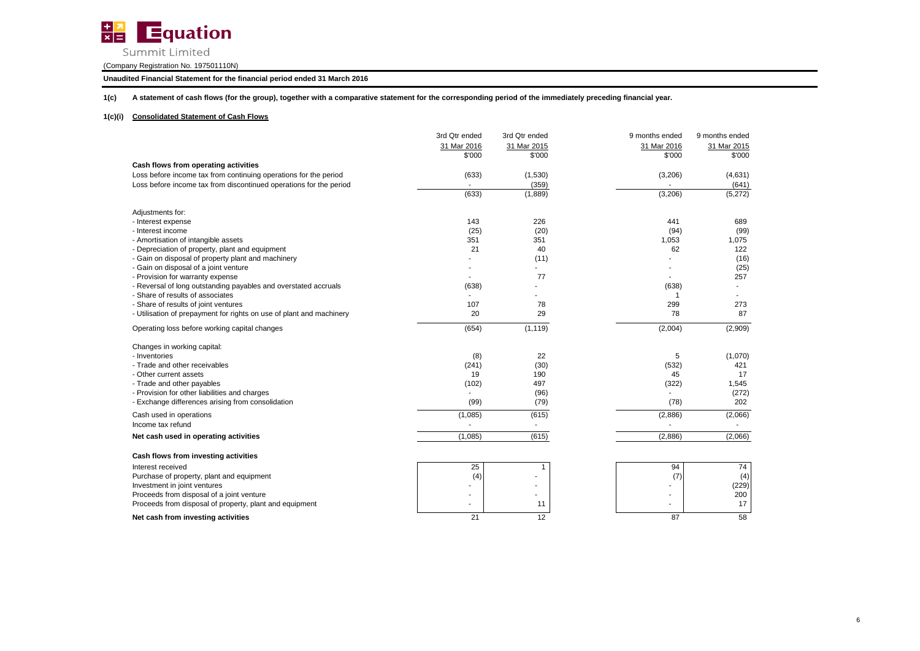

Summit Limited

(Company Registration No. 197501110N)

**Unaudited Financial Statement for the financial period ended 31 March 2016**

**1(c) A statement of cash flows (for the group), together with a comparative statement for the corresponding period of the immediately preceding financial year.**

# **1(c)(i) Consolidated Statement of Cash Flows**

|                                                                      | 3rd Qtr ended | 3rd Qtr ended | 9 months ended | 9 months ended |
|----------------------------------------------------------------------|---------------|---------------|----------------|----------------|
|                                                                      | 31 Mar 2016   | 31 Mar 2015   | 31 Mar 2016    | 31 Mar 2015    |
|                                                                      | \$'000        | \$'000        | \$'000         | \$'000         |
| Cash flows from operating activities                                 |               |               |                |                |
| Loss before income tax from continuing operations for the period     | (633)         | (1,530)       | (3,206)        | (4,631)        |
| Loss before income tax from discontinued operations for the period   |               | (359)         |                | (641)          |
|                                                                      | (633)         | (1,889)       | (3,206)        | (5,272)        |
| Adjustments for:                                                     |               |               |                |                |
| - Interest expense                                                   | 143           | 226           | 441            | 689            |
| - Interest income                                                    | (25)          | (20)          | (94)           | (99)           |
| - Amortisation of intangible assets                                  | 351           | 351           | 1,053          | 1,075          |
| - Depreciation of property, plant and equipment                      | 21            | 40            | 62             | 122            |
| - Gain on disposal of property plant and machinery                   |               | (11)          |                | (16)           |
| - Gain on disposal of a joint venture                                |               |               |                | (25)           |
| - Provision for warranty expense                                     |               | 77            |                | 257            |
| - Reversal of long outstanding payables and overstated accruals      | (638)         |               | (638)          |                |
| - Share of results of associates                                     |               |               |                |                |
| - Share of results of joint ventures                                 | 107           | 78            | 299            | 273            |
| - Utilisation of prepayment for rights on use of plant and machinery | 20            | 29            | 78             | 87             |
| Operating loss before working capital changes                        | (654)         | (1, 119)      | (2,004)        | (2,909)        |
| Changes in working capital:                                          |               |               |                |                |
| - Inventories                                                        | (8)           | 22            | 5              | (1,070)        |
| - Trade and other receivables                                        | (241)         | (30)          | (532)          | 421            |
| - Other current assets                                               | 19            | 190           | 45             | 17             |
| - Trade and other payables                                           | (102)         | 497           | (322)          | 1,545          |
| - Provision for other liabilities and charges                        |               | (96)          |                | (272)          |
| - Exchange differences arising from consolidation                    | (99)          | (79)          | (78)           | 202            |
| Cash used in operations                                              | (1,085)       | (615)         | (2,886)        | (2,066)        |
| Income tax refund                                                    |               | $\sim$        |                |                |
| Net cash used in operating activities                                | (1,085)       | (615)         | (2,886)        | (2,066)        |
| Cash flows from investing activities                                 |               |               |                |                |
| Interest received                                                    | 25            | -1            | 94             | 74             |
| Purchase of property, plant and equipment                            | (4)           |               | (7)            | (4)            |
| Investment in joint ventures                                         |               |               |                | (229)          |
| Proceeds from disposal of a joint venture                            |               |               |                | 200            |
| Proceeds from disposal of property, plant and equipment              |               | 11            |                | 17             |
| Net cash from investing activities                                   | 21            | 12            | 87             | 58             |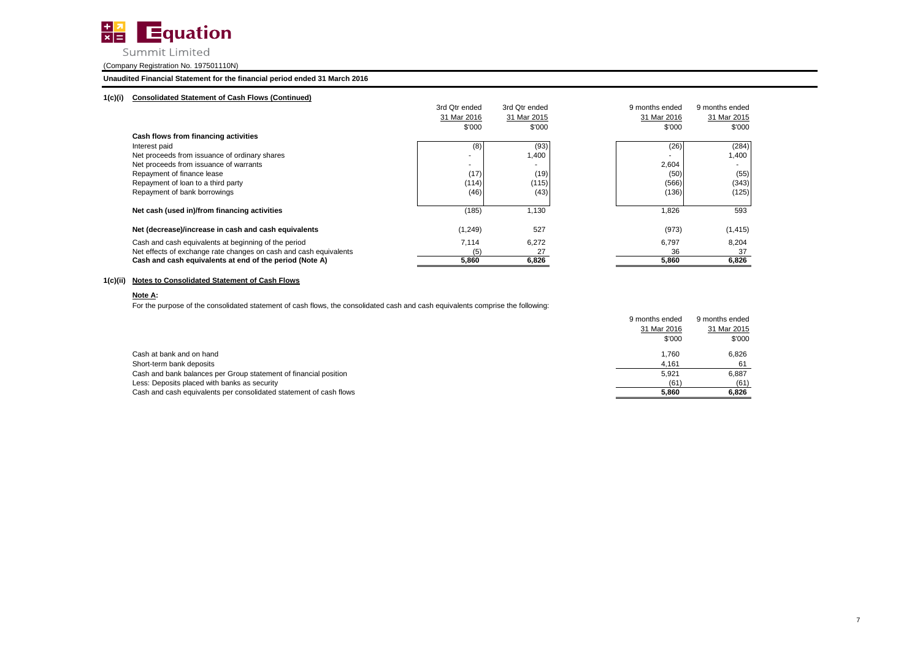

# Summit Limited

# (Company Registration No. 197501110N)

# **Unaudited Financial Statement for the financial period ended 31 March 2016**

# **1(c)(i) Consolidated Statement of Cash Flows (Continued)**

|                                                                   | 3rd Qtr ended | 3rd Qtr ended | 9 months ended | 9 months ended           |
|-------------------------------------------------------------------|---------------|---------------|----------------|--------------------------|
|                                                                   | 31 Mar 2016   | 31 Mar 2015   | 31 Mar 2016    | 31 Mar 2015              |
|                                                                   | \$'000        | \$'000        | \$'000         | \$'000                   |
| Cash flows from financing activities                              |               |               |                |                          |
| Interest paid                                                     | (8)           | (93)          | (26)           | (284)                    |
| Net proceeds from issuance of ordinary shares                     |               | 1,400         |                | 1,400                    |
| Net proceeds from issuance of warrants                            |               |               | 2,604          | $\overline{\phantom{a}}$ |
| Repayment of finance lease                                        | (17)          | (19)          | (50)           | (55)                     |
| Repayment of loan to a third party                                | (114)         | (115)         | (566)          | (343)                    |
| Repayment of bank borrowings                                      | (46)          | (43)          | (136)          | (125)                    |
| Net cash (used in)/from financing activities                      | (185)         | 1,130         | 1,826          | 593                      |
| Net (decrease)/increase in cash and cash equivalents              | (1, 249)      | 527           | (973)          | (1, 415)                 |
| Cash and cash equivalents at beginning of the period              | 7,114         | 6,272         | 6,797          | 8,204                    |
| Net effects of exchange rate changes on cash and cash equivalents | (5)           | 27            | 36             | 37                       |
| Cash and cash equivalents at end of the period (Note A)           | 5,860         | 6,826         | 5,860          | 6,826                    |

# **1(c)(ii) Notes to Consolidated Statement of Cash Flows**

# **Note A:**

For the purpose of the consolidated statement of cash flows, the consolidated cash and cash equivalents comprise the following:

|                                                                    | 9 months ended | 9 months ended |
|--------------------------------------------------------------------|----------------|----------------|
|                                                                    | 31 Mar 2016    | 31 Mar 2015    |
|                                                                    | \$'000         | \$'000         |
| Cash at bank and on hand                                           | 1.760          | 6.826          |
| Short-term bank deposits                                           | 4.161          | 61             |
| Cash and bank balances per Group statement of financial position   | 5.921          | 6.887          |
| Less: Deposits placed with banks as security                       | (61)           | (61)           |
| Cash and cash equivalents per consolidated statement of cash flows | 5.860          | 6.826          |
|                                                                    |                |                |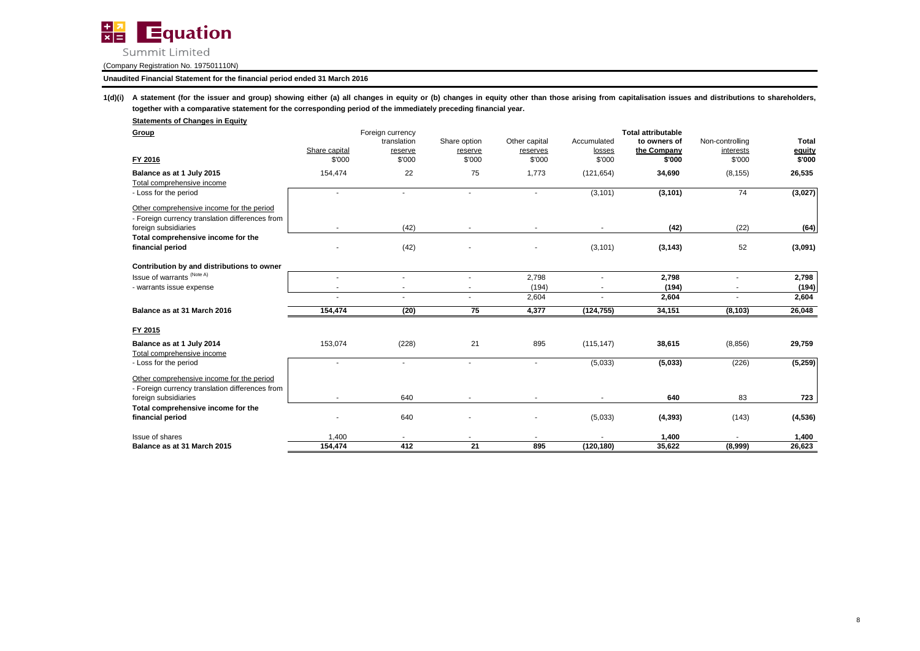

# **Unaudited Financial Statement for the financial period ended 31 March 2016**

1(d)(i) A statement (for the issuer and group) showing either (a) all changes in equity or (b) changes in equity other than those arising from capitalisation issues and distributions to shareholders, **together with a comparative statement for the corresponding period of the immediately preceding financial year.**

| <b>Total attributable</b><br>Foreign currency<br>Group<br><b>Total</b><br>Share option<br>Other capital<br>Accumulated<br>Non-controlling<br>translation<br>to owners of<br>Share capital<br>the Company<br>equity<br>interests<br>reserve<br>losses<br>reserve<br>reserves<br>\$'000<br>\$'000<br>\$'000<br>\$'000<br>\$'000<br>\$'000<br>FY 2016<br>\$'000<br>\$'000<br>22<br>75<br>1,773<br>26,535<br>154,474<br>(121, 654)<br>34,690<br>(8, 155)<br>Balance as at 1 July 2015<br>Total comprehensive income<br>74<br>(3, 101)<br>(3, 101)<br>(3,027)<br>- Loss for the period<br>$\sim$<br>$\blacksquare$<br>$\sim$<br>$\overline{\phantom{a}}$<br>Other comprehensive income for the period<br>- Foreign currency translation differences from<br>(42)<br>(42)<br>foreign subsidiaries<br>(22)<br>(64)<br>$\sim$<br>×<br>$\sim$<br>Total comprehensive income for the<br>(42)<br>(3, 101)<br>52<br>(3,091)<br>financial period<br>(3, 143)<br>Contribution by and distributions to owner<br>Issue of warrants <sup>(Note A)</sup><br>2,798<br>2,798<br>2,798<br>٠<br>(194)<br>(194)<br>(194)<br>- warrants issue expense<br>$\sim$<br>$\sim$<br>2,604<br>2,604<br>2,604<br>$\sim$<br>Balance as at 31 March 2016<br>(20)<br>75<br>4,377<br>(124, 755)<br>34,151<br>26,048<br>154,474<br>(8, 103)<br>FY 2015<br>153,074<br>(228)<br>21<br>895<br>29,759<br>Balance as at 1 July 2014<br>(115, 147)<br>38,615<br>(8, 856)<br>Total comprehensive income<br>(5,033)<br>(5,033)<br>(226)<br>(5,259)<br>- Loss for the period<br>٠<br>Other comprehensive income for the period<br>- Foreign currency translation differences from<br>foreign subsidiaries<br>640<br>640<br>83<br>723<br>Total comprehensive income for the<br>financial period<br>640<br>(5,033)<br>(143)<br>(4, 393)<br>(4,536)<br>٠<br>Issue of shares<br>1,400<br>1,400<br>1,400<br>$\sim$<br>154,474<br>412<br>21<br>35,622<br>26,623<br>895<br>(120, 180)<br>(8,999)<br>Balance as at 31 March 2015 | <b>Statements of Changes in Equity</b> |  |  |  |  |
|---------------------------------------------------------------------------------------------------------------------------------------------------------------------------------------------------------------------------------------------------------------------------------------------------------------------------------------------------------------------------------------------------------------------------------------------------------------------------------------------------------------------------------------------------------------------------------------------------------------------------------------------------------------------------------------------------------------------------------------------------------------------------------------------------------------------------------------------------------------------------------------------------------------------------------------------------------------------------------------------------------------------------------------------------------------------------------------------------------------------------------------------------------------------------------------------------------------------------------------------------------------------------------------------------------------------------------------------------------------------------------------------------------------------------------------------------------------------------------------------------------------------------------------------------------------------------------------------------------------------------------------------------------------------------------------------------------------------------------------------------------------------------------------------------------------------------------------------------------------------------------------------------------------------------------------------------------------------------|----------------------------------------|--|--|--|--|
|                                                                                                                                                                                                                                                                                                                                                                                                                                                                                                                                                                                                                                                                                                                                                                                                                                                                                                                                                                                                                                                                                                                                                                                                                                                                                                                                                                                                                                                                                                                                                                                                                                                                                                                                                                                                                                                                                                                                                                           |                                        |  |  |  |  |
|                                                                                                                                                                                                                                                                                                                                                                                                                                                                                                                                                                                                                                                                                                                                                                                                                                                                                                                                                                                                                                                                                                                                                                                                                                                                                                                                                                                                                                                                                                                                                                                                                                                                                                                                                                                                                                                                                                                                                                           |                                        |  |  |  |  |
|                                                                                                                                                                                                                                                                                                                                                                                                                                                                                                                                                                                                                                                                                                                                                                                                                                                                                                                                                                                                                                                                                                                                                                                                                                                                                                                                                                                                                                                                                                                                                                                                                                                                                                                                                                                                                                                                                                                                                                           |                                        |  |  |  |  |
|                                                                                                                                                                                                                                                                                                                                                                                                                                                                                                                                                                                                                                                                                                                                                                                                                                                                                                                                                                                                                                                                                                                                                                                                                                                                                                                                                                                                                                                                                                                                                                                                                                                                                                                                                                                                                                                                                                                                                                           |                                        |  |  |  |  |
|                                                                                                                                                                                                                                                                                                                                                                                                                                                                                                                                                                                                                                                                                                                                                                                                                                                                                                                                                                                                                                                                                                                                                                                                                                                                                                                                                                                                                                                                                                                                                                                                                                                                                                                                                                                                                                                                                                                                                                           |                                        |  |  |  |  |
|                                                                                                                                                                                                                                                                                                                                                                                                                                                                                                                                                                                                                                                                                                                                                                                                                                                                                                                                                                                                                                                                                                                                                                                                                                                                                                                                                                                                                                                                                                                                                                                                                                                                                                                                                                                                                                                                                                                                                                           |                                        |  |  |  |  |
|                                                                                                                                                                                                                                                                                                                                                                                                                                                                                                                                                                                                                                                                                                                                                                                                                                                                                                                                                                                                                                                                                                                                                                                                                                                                                                                                                                                                                                                                                                                                                                                                                                                                                                                                                                                                                                                                                                                                                                           |                                        |  |  |  |  |
|                                                                                                                                                                                                                                                                                                                                                                                                                                                                                                                                                                                                                                                                                                                                                                                                                                                                                                                                                                                                                                                                                                                                                                                                                                                                                                                                                                                                                                                                                                                                                                                                                                                                                                                                                                                                                                                                                                                                                                           |                                        |  |  |  |  |
|                                                                                                                                                                                                                                                                                                                                                                                                                                                                                                                                                                                                                                                                                                                                                                                                                                                                                                                                                                                                                                                                                                                                                                                                                                                                                                                                                                                                                                                                                                                                                                                                                                                                                                                                                                                                                                                                                                                                                                           |                                        |  |  |  |  |
|                                                                                                                                                                                                                                                                                                                                                                                                                                                                                                                                                                                                                                                                                                                                                                                                                                                                                                                                                                                                                                                                                                                                                                                                                                                                                                                                                                                                                                                                                                                                                                                                                                                                                                                                                                                                                                                                                                                                                                           |                                        |  |  |  |  |
|                                                                                                                                                                                                                                                                                                                                                                                                                                                                                                                                                                                                                                                                                                                                                                                                                                                                                                                                                                                                                                                                                                                                                                                                                                                                                                                                                                                                                                                                                                                                                                                                                                                                                                                                                                                                                                                                                                                                                                           |                                        |  |  |  |  |
|                                                                                                                                                                                                                                                                                                                                                                                                                                                                                                                                                                                                                                                                                                                                                                                                                                                                                                                                                                                                                                                                                                                                                                                                                                                                                                                                                                                                                                                                                                                                                                                                                                                                                                                                                                                                                                                                                                                                                                           |                                        |  |  |  |  |
|                                                                                                                                                                                                                                                                                                                                                                                                                                                                                                                                                                                                                                                                                                                                                                                                                                                                                                                                                                                                                                                                                                                                                                                                                                                                                                                                                                                                                                                                                                                                                                                                                                                                                                                                                                                                                                                                                                                                                                           |                                        |  |  |  |  |
|                                                                                                                                                                                                                                                                                                                                                                                                                                                                                                                                                                                                                                                                                                                                                                                                                                                                                                                                                                                                                                                                                                                                                                                                                                                                                                                                                                                                                                                                                                                                                                                                                                                                                                                                                                                                                                                                                                                                                                           |                                        |  |  |  |  |
|                                                                                                                                                                                                                                                                                                                                                                                                                                                                                                                                                                                                                                                                                                                                                                                                                                                                                                                                                                                                                                                                                                                                                                                                                                                                                                                                                                                                                                                                                                                                                                                                                                                                                                                                                                                                                                                                                                                                                                           |                                        |  |  |  |  |
|                                                                                                                                                                                                                                                                                                                                                                                                                                                                                                                                                                                                                                                                                                                                                                                                                                                                                                                                                                                                                                                                                                                                                                                                                                                                                                                                                                                                                                                                                                                                                                                                                                                                                                                                                                                                                                                                                                                                                                           |                                        |  |  |  |  |
|                                                                                                                                                                                                                                                                                                                                                                                                                                                                                                                                                                                                                                                                                                                                                                                                                                                                                                                                                                                                                                                                                                                                                                                                                                                                                                                                                                                                                                                                                                                                                                                                                                                                                                                                                                                                                                                                                                                                                                           |                                        |  |  |  |  |
|                                                                                                                                                                                                                                                                                                                                                                                                                                                                                                                                                                                                                                                                                                                                                                                                                                                                                                                                                                                                                                                                                                                                                                                                                                                                                                                                                                                                                                                                                                                                                                                                                                                                                                                                                                                                                                                                                                                                                                           |                                        |  |  |  |  |
|                                                                                                                                                                                                                                                                                                                                                                                                                                                                                                                                                                                                                                                                                                                                                                                                                                                                                                                                                                                                                                                                                                                                                                                                                                                                                                                                                                                                                                                                                                                                                                                                                                                                                                                                                                                                                                                                                                                                                                           |                                        |  |  |  |  |
|                                                                                                                                                                                                                                                                                                                                                                                                                                                                                                                                                                                                                                                                                                                                                                                                                                                                                                                                                                                                                                                                                                                                                                                                                                                                                                                                                                                                                                                                                                                                                                                                                                                                                                                                                                                                                                                                                                                                                                           |                                        |  |  |  |  |
|                                                                                                                                                                                                                                                                                                                                                                                                                                                                                                                                                                                                                                                                                                                                                                                                                                                                                                                                                                                                                                                                                                                                                                                                                                                                                                                                                                                                                                                                                                                                                                                                                                                                                                                                                                                                                                                                                                                                                                           |                                        |  |  |  |  |
|                                                                                                                                                                                                                                                                                                                                                                                                                                                                                                                                                                                                                                                                                                                                                                                                                                                                                                                                                                                                                                                                                                                                                                                                                                                                                                                                                                                                                                                                                                                                                                                                                                                                                                                                                                                                                                                                                                                                                                           |                                        |  |  |  |  |
|                                                                                                                                                                                                                                                                                                                                                                                                                                                                                                                                                                                                                                                                                                                                                                                                                                                                                                                                                                                                                                                                                                                                                                                                                                                                                                                                                                                                                                                                                                                                                                                                                                                                                                                                                                                                                                                                                                                                                                           |                                        |  |  |  |  |
|                                                                                                                                                                                                                                                                                                                                                                                                                                                                                                                                                                                                                                                                                                                                                                                                                                                                                                                                                                                                                                                                                                                                                                                                                                                                                                                                                                                                                                                                                                                                                                                                                                                                                                                                                                                                                                                                                                                                                                           |                                        |  |  |  |  |
|                                                                                                                                                                                                                                                                                                                                                                                                                                                                                                                                                                                                                                                                                                                                                                                                                                                                                                                                                                                                                                                                                                                                                                                                                                                                                                                                                                                                                                                                                                                                                                                                                                                                                                                                                                                                                                                                                                                                                                           |                                        |  |  |  |  |
|                                                                                                                                                                                                                                                                                                                                                                                                                                                                                                                                                                                                                                                                                                                                                                                                                                                                                                                                                                                                                                                                                                                                                                                                                                                                                                                                                                                                                                                                                                                                                                                                                                                                                                                                                                                                                                                                                                                                                                           |                                        |  |  |  |  |
|                                                                                                                                                                                                                                                                                                                                                                                                                                                                                                                                                                                                                                                                                                                                                                                                                                                                                                                                                                                                                                                                                                                                                                                                                                                                                                                                                                                                                                                                                                                                                                                                                                                                                                                                                                                                                                                                                                                                                                           |                                        |  |  |  |  |
|                                                                                                                                                                                                                                                                                                                                                                                                                                                                                                                                                                                                                                                                                                                                                                                                                                                                                                                                                                                                                                                                                                                                                                                                                                                                                                                                                                                                                                                                                                                                                                                                                                                                                                                                                                                                                                                                                                                                                                           |                                        |  |  |  |  |
|                                                                                                                                                                                                                                                                                                                                                                                                                                                                                                                                                                                                                                                                                                                                                                                                                                                                                                                                                                                                                                                                                                                                                                                                                                                                                                                                                                                                                                                                                                                                                                                                                                                                                                                                                                                                                                                                                                                                                                           |                                        |  |  |  |  |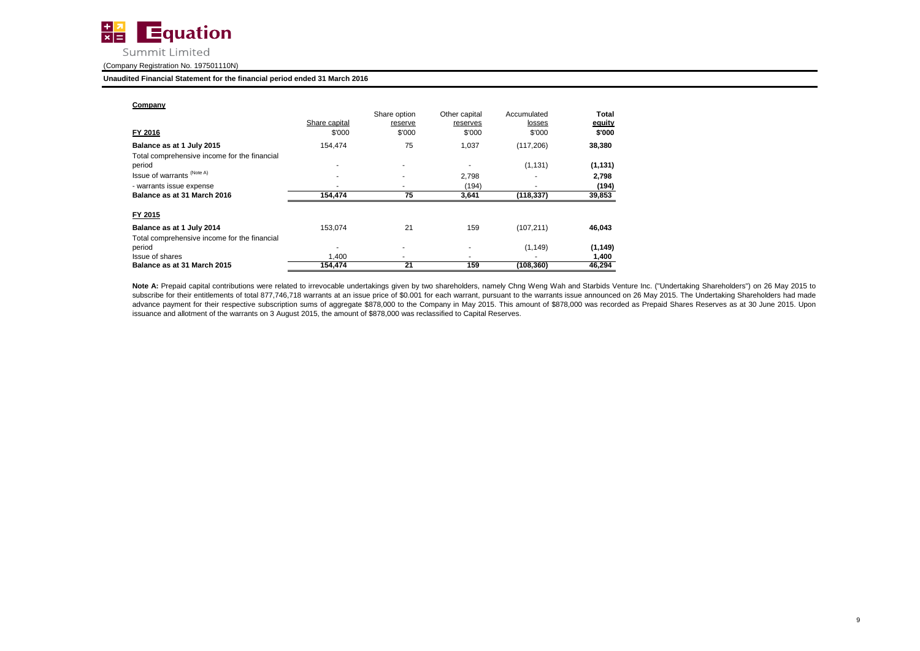

#### **Unaudited Financial Statement for the financial period ended 31 March 2016**

| Company                                      |               | Share option | Other capital | Accumulated | Total    |
|----------------------------------------------|---------------|--------------|---------------|-------------|----------|
|                                              | Share capital | reserve      | reserves      | losses      | equity   |
| FY 2016                                      | \$'000        | \$'000       | \$'000        | \$'000      | \$'000   |
| Balance as at 1 July 2015                    | 154.474       | 75           | 1,037         | (117, 206)  | 38,380   |
| Total comprehensive income for the financial |               |              |               |             |          |
| period                                       |               |              |               | (1, 131)    | (1, 131) |
| Issue of warrants (Note A)                   |               |              | 2,798         | ۰           | 2,798    |
| - warrants issue expense                     |               |              | (194)         | ۰           | (194)    |
| Balance as at 31 March 2016                  | 154,474       | 75           | 3,641         | (118, 337)  | 39,853   |
| FY 2015                                      |               |              |               |             |          |
| Balance as at 1 July 2014                    | 153,074       | 21           | 159           | (107, 211)  | 46,043   |
| Total comprehensive income for the financial |               |              |               |             |          |
| period                                       |               |              |               | (1, 149)    | (1, 149) |
| Issue of shares                              | 1.400         |              | ۰             |             | 1,400    |
| Balance as at 31 March 2015                  | 154,474       | 21           | 159           | (108, 360)  | 46,294   |

Note A: Prepaid capital contributions were related to irrevocable undertakings given by two shareholders, namely Chng Weng Wah and Starbids Venture Inc. ("Undertaking Shareholders") on 26 May 2015 to subscribe for their entitlements of total 877,746,718 warrants at an issue price of \$0.001 for each warrant, pursuant to the warrants issue announced on 26 May 2015. The Undertaking Shareholders had made advance payment for their respective subscription sums of aggregate \$878,000 to the Company in May 2015. This amount of \$878,000 was recorded as Prepaid Shares Reserves as at 30 June 2015. Upon issuance and allotment of the warrants on 3 August 2015, the amount of \$878,000 was reclassified to Capital Reserves.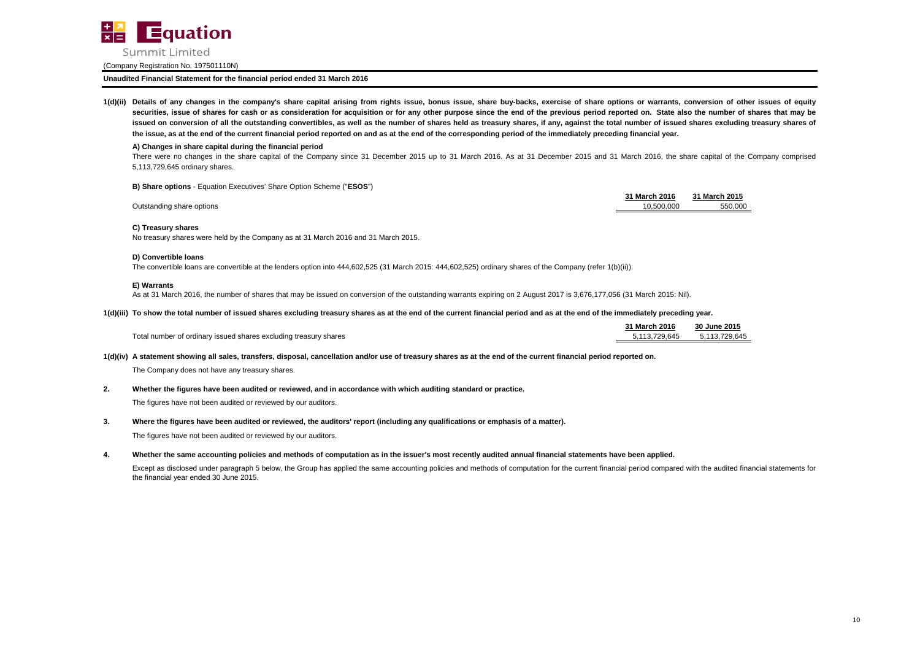

**Unaudited Financial Statement for the financial period ended 31 March 2016**

1(d)(ii) Details of any changes in the company's share capital arising from rights issue, bonus issue, share buy-backs, exercise of share options or warrants, conversion of other issues of equity securities, issue of shares for cash or as consideration for acquisition or for any other purpose since the end of the previous period reported on. State also the number of shares that may be issued on conversion of all the outstanding convertibles, as well as the number of shares held as treasury shares, if any, against the total number of issued shares excluding treasury shares of **the issue, as at the end of the current financial period reported on and as at the end of the corresponding period of the immediately preceding financial year.**

#### **A) Changes in share capital during the financial period**

There were no changes in the share capital of the Company since 31 December 2015 up to 31 March 2016. As at 31 December 2015 and 31 March 2016, the share capital of the Company comprised 5,113,729,645 ordinary shares.

**B) Share options** - Equation Executives' Share Option Scheme ("**ESOS**")

| 31 March 2016 | 31 March 2015 |
|---------------|---------------|
| 10.500.000    | 550.000       |

Outstanding share options

### **C) Treasury shares**

No treasury shares were held by the Company as at 31 March 2016 and 31 March 2015.

#### **D) Convertible loans**

The convertible loans are convertible at the lenders option into 444,602,525 (31 March 2015: 444,602,525) ordinary shares of the Company (refer 1(b)(ii)).

#### **E) Warrants**

As at 31 March 2016, the number of shares that may be issued on conversion of the outstanding warrants expiring on 2 August 2017 is 3,676,177,056 (31 March 2015: Nil).

#### **1(d)(iii) To show the total number of issued shares excluding treasury shares as at the end of the current financial period and as at the end of the immediately preceding year.**

|                                                                  | 31 March 2016 | 30 June 2015  |
|------------------------------------------------------------------|---------------|---------------|
| Total number of ordinary issued shares excluding treasury shares | 113.729.645   | 5.113.729.645 |

**1(d)(iv) A statement showing all sales, transfers, disposal, cancellation and/or use of treasury shares as at the end of the current financial period reported on.**

The Company does not have any treasury shares.

**2. Whether the figures have been audited or reviewed, and in accordance with which auditing standard or practice.**

The figures have not been audited or reviewed by our auditors.

**3. Where the figures have been audited or reviewed, the auditors' report (including any qualifications or emphasis of a matter).**

The figures have not been audited or reviewed by our auditors.

**4. Whether the same accounting policies and methods of computation as in the issuer's most recently audited annual financial statements have been applied.**

Except as disclosed under paragraph 5 below, the Group has applied the same accounting policies and methods of computation for the current financial period compared with the audited financial statements for the financial year ended 30 June 2015.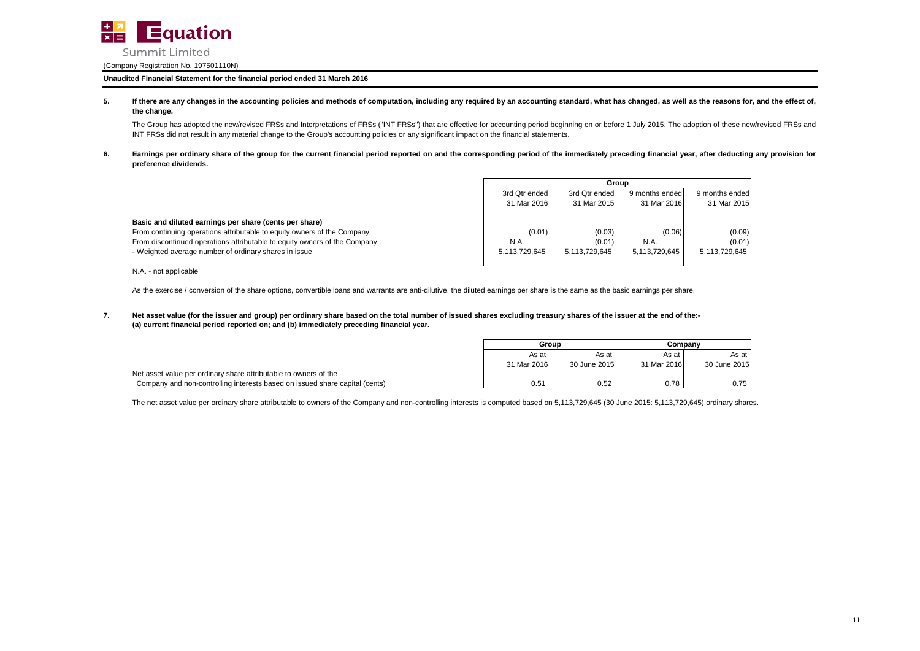

**Unaudited Financial Statement for the financial period ended 31 March 2016**

**5.** If there are any changes in the accounting policies and methods of computation, including any required by an accounting standard, what has changed, as well as the reasons for, and the effect of, **the change.**

The Group has adopted the new/revised FRSs and Interpretations of FRSs ("INT FRSs") that are effective for accounting period beginning on or before 1 July 2015. The adoption of these new/revised FRSs and INT FRSs did not result in any material change to the Group's accounting policies or any significant impact on the financial statements.

**6.** Earnings per ordinary share of the group for the current financial period reported on and the corresponding period of the immediately preceding financial year, after deducting any provision for **preference dividends.**

|                                                                           |               | Group         |                |                |  |
|---------------------------------------------------------------------------|---------------|---------------|----------------|----------------|--|
|                                                                           | 3rd Qtr ended | 3rd Qtr ended | 9 months ended | 9 months ended |  |
|                                                                           | 31 Mar 2016   | 31 Mar 2015   | 31 Mar 2016    | 31 Mar 2015    |  |
| Basic and diluted earnings per share (cents per share)                    |               |               |                |                |  |
| From continuing operations attributable to equity owners of the Company   | (0.01)        | (0.03)        | (0.06)         | (0.09)         |  |
| From discontinued operations attributable to equity owners of the Company | N.A.          | (0.01)        | N.A.           | (0.01)         |  |
| - Weighted average number of ordinary shares in issue                     | 5.113.729.645 | 5.113.729.645 | 5.113.729.645  | 5,113,729,645  |  |
|                                                                           |               |               |                |                |  |
| N.A. - not applicable                                                     |               |               |                |                |  |

As the exercise / conversion of the share options, convertible loans and warrants are anti-dilutive, the diluted earnings per share is the same as the basic earnings per share.

**7. (a) current financial period reported on; and (b) immediately preceding financial year. Net asset value (for the issuer and group) per ordinary share based on the total number of issued shares excluding treasury shares of the issuer at the end of the:-**

|                                                                             | Group       |              | Companv     |              |
|-----------------------------------------------------------------------------|-------------|--------------|-------------|--------------|
|                                                                             | As at       | As at        | As at       | As at        |
|                                                                             | 31 Mar 2016 | 30 June 2015 | 31 Mar 2016 | 30 June 2015 |
| Net asset value per ordinary share attributable to owners of the            |             |              |             |              |
| Company and non-controlling interests based on issued share capital (cents) | 0.51        | 0.52         | 0.78        | 0.75         |

The net asset value per ordinary share attributable to owners of the Company and non-controlling interests is computed based on 5,113,729,645 (30 June 2015: 5,113,729,645) ordinary shares.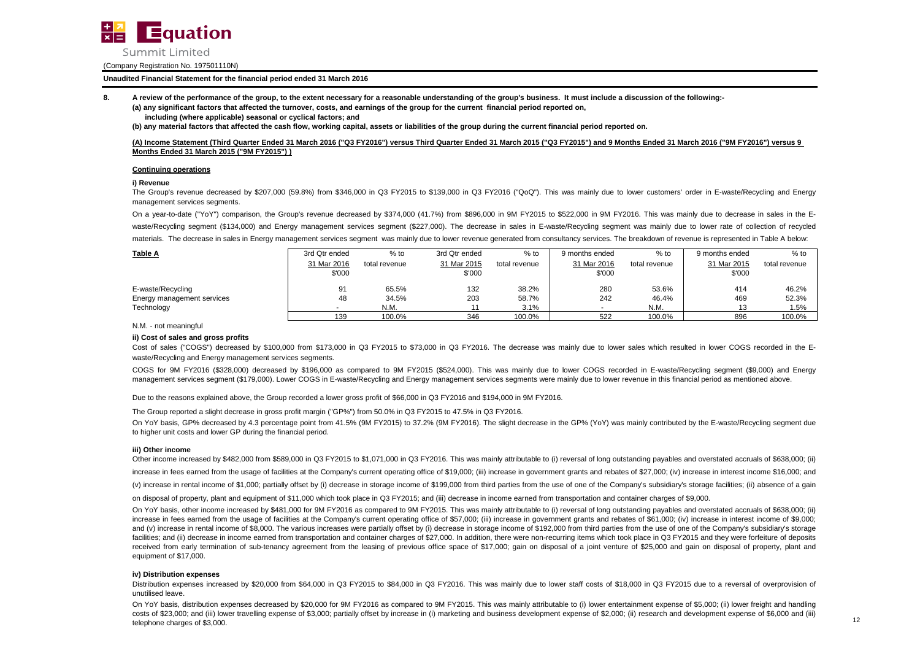

### **Unaudited Financial Statement for the financial period ended 31 March 2016**

**8. A review of the performance of the group, to the extent necessary for a reasonable understanding of the group's business. It must include a discussion of the following:-**

**(a) any significant factors that affected the turnover, costs, and earnings of the group for the current financial period reported on, including (where applicable) seasonal or cyclical factors; and**

**(b) any material factors that affected the cash flow, working capital, assets or liabilities of the group during the current financial period reported on.**

**(A) Income Statement (Third Quarter Ended 31 March 2016 ("Q3 FY2016") versus Third Quarter Ended 31 March 2015 ("Q3 FY2015") and 9 Months Ended 31 March 2016 ("9M FY2016") versus 9 Months Ended 31 March 2015 ("9M FY2015") )**

#### **Continuing operations**

#### **i) Revenue**

The Group's revenue decreased by \$207,000 (59.8%) from \$346,000 in Q3 FY2015 to \$139,000 in Q3 FY2016 ("QoQ"). This was mainly due to lower customers' order in E-waste/Recycling and Energy management services segments.

On a year-to-date ("YoY") comparison, the Group's revenue decreased by \$374,000 (41.7%) from \$896,000 in 9M FY2015 to \$522,000 in 9M FY2016. This was mainly due to decrease in sales in the Ewaste/Recycling segment (\$134,000) and Energy management services segment (\$227,000). The decrease in sales in E-waste/Recycling segment was mainly due to lower rate of collection of recycled materials. The decrease in sales in Energy management services segment was mainly due to lower revenue generated from consultancy services. The breakdown of revenue is represented in Table A below:

| <b>Table A</b>             | 3rd Qtr ended | $%$ to        | 3rd Qtr ended | $%$ to        | 9 months ended | % to          | 9 months ended | $%$ to        |
|----------------------------|---------------|---------------|---------------|---------------|----------------|---------------|----------------|---------------|
|                            | 31 Mar 2016   | total revenue | 31 Mar 2015   | total revenue | 31 Mar 2016    | total revenue | 31 Mar 2015    | total revenue |
|                            | \$'000        |               | \$'000        |               | \$'000         |               | \$'000         |               |
| E-waste/Recycling          | 91            | 65.5%         | 132           | 38.2%         | 280            | 53.6%         | 414            | 46.2%         |
| Energy management services | 48            | 34.5%         | 203           | 58.7%         | 242            | 46.4%         | 469            | 52.3%         |
| Technology                 | . .           | N.M.          |               | 3.1%          |                | N.M.          | 13             | 1.5%          |
|                            | 139           | 100.0%        | 346           | 100.0%        | 522            | 100.0%        | 896            | 100.0%        |

N.M. - not meaningful

### **ii) Cost of sales and gross profits**

Cost of sales ("COGS") decreased by \$100,000 from \$173,000 in Q3 FY2015 to \$73,000 in Q3 FY2016. The decrease was mainly due to lower sales which resulted in lower COGS recorded in the Ewaste/Recycling and Energy management services segments.

COGS for 9M FY2016 (\$328,000) decreased by \$196,000 as compared to 9M FY2015 (\$524,000). This was mainly due to lower COGS recorded in E-waste/Recycling segment (\$9,000) and Energy management services segment (\$179,000). Lower COGS in E-waste/Recycling and Energy management services segments were mainly due to lower revenue in this financial period as mentioned above.

Due to the reasons explained above, the Group recorded a lower gross profit of \$66,000 in Q3 FY2016 and \$194,000 in 9M FY2016.

The Group reported a slight decrease in gross profit margin ("GP%") from 50.0% in Q3 FY2015 to 47.5% in Q3 FY2016.

On YoY basis, GP% decreased by 4.3 percentage point from 41.5% (9M FY2015) to 37.2% (9M FY2016). The slight decrease in the GP% (YoY) was mainly contributed by the E-waste/Recycling segment due to higher unit costs and lower GP during the financial period.

#### **iii) Other income**

Other income increased by \$482,000 from \$589,000 in Q3 FY2015 to \$1,071,000 in Q3 FY2016. This was mainly attributable to (i) reversal of long outstanding payables and overstated accruals of \$638,000; (ii) increase in fees earned from the usage of facilities at the Company's current operating office of \$19,000; (iii) increase in government grants and rebates of \$27,000; (iv) increase in interest income \$16,000; and (v) increase in rental income of \$1,000; partially offset by (i) decrease in storage income of \$199,000 from third parties from the use of one of the Company's subsidiary's storage facilities; (ii) absence of a gain

on disposal of property, plant and equipment of \$11,000 which took place in Q3 FY2015; and (iii) decrease in income earned from transportation and container charges of \$9,000.

On YoY basis, other income increased by \$481,000 for 9M FY2016 as compared to 9M FY2015. This was mainly attributable to (i) reversal of long outstanding payables and overstated accruals of \$638,000; (ii) increase in fees earned from the usage of facilities at the Company's current operating office of \$57,000; (iii) increase in government grants and rebates of \$61,000; (iv) increase in interest income of \$9,000; and (v) increase in rental income of \$8,000. The various increases were partially offset by (i) decrease in storage income of \$192,000 from third parties from the use of one of the Company's subsidiary's storage facilities; and (ii) decrease in income earned from transportation and container charges of \$27,000. In addition, there were non-recurring items which took place in Q3 FY2015 and they were forfeiture of deposits received from early termination of sub-tenancy agreement from the leasing of previous office space of \$17,000; gain on disposal of a joint venture of \$25,000 and gain on disposal of property, plant and equipment of \$17,000.

#### **iv) Distribution expenses**

Distribution expenses increased by \$20,000 from \$64,000 in Q3 FY2015 to \$84,000 in Q3 FY2016. This was mainly due to lower staff costs of \$18,000 in Q3 FY2015 due to a reversal of overprovision of unutilised leave.

On YoY basis, distribution expenses decreased by \$20,000 for 9M FY2016 as compared to 9M FY2015. This was mainly attributable to (i) lower entertainment expense of \$5,000; (ii) lower freight and handling costs of \$23,000; and (iii) lower travelling expense of \$3,000; partially offset by increase in (i) marketing and business development expense of \$2,000; (ii) research and development expense of \$6,000 and (iii) telephone charges of \$3,000.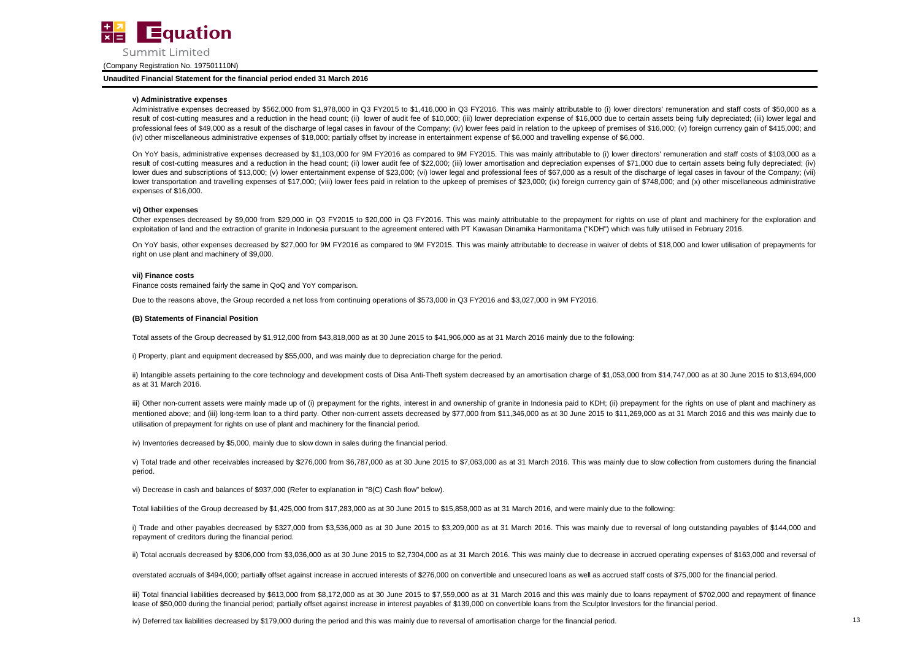

**Unaudited Financial Statement for the financial period ended 31 March 2016**

#### **v) Administrative expenses**

Administrative expenses decreased by \$562,000 from \$1,978,000 in Q3 FY2015 to \$1,416,000 in Q3 FY2016. This was mainly attributable to (i) lower directors' remuneration and staff costs of \$50,000 as a result of cost-cutting measures and a reduction in the head count; (ii) lower of audit fee of \$10,000; (iii) lower depreciation expense of \$16,000 due to certain assets being fully depreciated; (iii) lower legal and professional fees of \$49,000 as a result of the discharge of legal cases in favour of the Company; (iv) lower fees paid in relation to the upkeep of premises of \$16,000; (v) foreign currency gain of \$415,000; and (iv) other miscellaneous administrative expenses of \$18,000; partially offset by increase in entertainment expense of \$6,000 and travelling expense of \$6,000.

On YoY basis, administrative expenses decreased by \$1,103,000 for 9M FY2016 as compared to 9M FY2015. This was mainly attributable to (i) lower directors' remuneration and staff costs of \$103,000 as a result of cost-cutting measures and a reduction in the head count; (ii) lower audit fee of \$22,000; (iii) lower amortisation and depreciation expenses of \$71,000 due to certain assets being fully depreciated; (iv) lower dues and subscriptions of \$13,000; (v) lower entertainment expense of \$23,000; (vi) lower legal and professional fees of \$67,000 as a result of the discharge of legal cases in favour of the Company; (vii) lower transportation and travelling expenses of \$17,000; (viii) lower fees paid in relation to the upkeep of premises of \$23,000; (ix) foreign currency gain of \$748,000; and (x) other miscellaneous administrative expenses of \$16,000.

#### **vi) Other expenses**

Other expenses decreased by \$9,000 from \$29,000 in Q3 FY2015 to \$20,000 in Q3 FY2016. This was mainly attributable to the prepayment for rights on use of plant and machinery for the exploration and exploitation of land and the extraction of granite in Indonesia pursuant to the agreement entered with PT Kawasan Dinamika Harmonitama ("KDH") which was fully utilised in February 2016.

On YoY basis, other expenses decreased by \$27,000 for 9M FY2016 as compared to 9M FY2015. This was mainly attributable to decrease in waiver of debts of \$18,000 and lower utilisation of prepayments for right on use plant and machinery of \$9,000.

#### **vii) Finance costs**

Finance costs remained fairly the same in QoQ and YoY comparison.

Due to the reasons above, the Group recorded a net loss from continuing operations of \$573,000 in Q3 FY2016 and \$3,027,000 in 9M FY2016.

#### **(B) Statements of Financial Position**

Total assets of the Group decreased by \$1,912,000 from \$43,818,000 as at 30 June 2015 to \$41,906,000 as at 31 March 2016 mainly due to the following:

i) Property, plant and equipment decreased by \$55,000, and was mainly due to depreciation charge for the period.

ii) Intangible assets pertaining to the core technology and development costs of Disa Anti-Theft system decreased by an amortisation charge of \$1,053,000 from \$14,747,000 as at 30 June 2015 to \$13,694,000 as at 31 March 2016.

iii) Other non-current assets were mainly made up of (i) prepayment for the rights, interest in and ownership of granite in Indonesia paid to KDH; (ii) prepayment for the rights on use of plant and machinery as mentioned above; and (iii) long-term loan to a third party. Other non-current assets decreased by \$77,000 from \$11,346,000 as at 30 June 2015 to \$11,269,000 as at 31 March 2016 and this was mainly due to utilisation of prepayment for rights on use of plant and machinery for the financial period.

iv) Inventories decreased by \$5,000, mainly due to slow down in sales during the financial period.

v) Total trade and other receivables increased by \$276,000 from \$6,787,000 as at 30 June 2015 to \$7,063,000 as at 31 March 2016. This was mainly due to slow collection from customers during the financial period.

vi) Decrease in cash and balances of \$937,000 (Refer to explanation in "8(C) Cash flow" below).

Total liabilities of the Group decreased by \$1,425,000 from \$17,283,000 as at 30 June 2015 to \$15,858,000 as at 31 March 2016, and were mainly due to the following:

i) Trade and other payables decreased by \$327,000 from \$3,536,000 as at 30 June 2015 to \$3,209,000 as at 31 March 2016. This was mainly due to reversal of long outstanding payables of \$144,000 and repayment of creditors during the financial period.

ii) Total accruals decreased by \$306,000 from \$3,036,000 as at 30 June 2015 to \$2,7304,000 as at 31 March 2016. This was mainly due to decrease in accrued operating expenses of \$163,000 and reversal of

overstated accruals of \$494,000; partially offset against increase in accrued interests of \$276,000 on convertible and unsecured loans as well as accrued staff costs of \$75,000 for the financial period.

iii) Total financial liabilities decreased by \$613,000 from \$8,172,000 as at 30 June 2015 to \$7,559,000 as at 31 March 2016 and this was mainly due to loans repayment of \$702,000 and repayment of finance lease of \$50,000 during the financial period; partially offset against increase in interest payables of \$139,000 on convertible loans from the Sculptor Investors for the financial period.

iv) Deferred tax liabilities decreased by \$179,000 during the period and this was mainly due to reversal of amortisation charge for the financial period.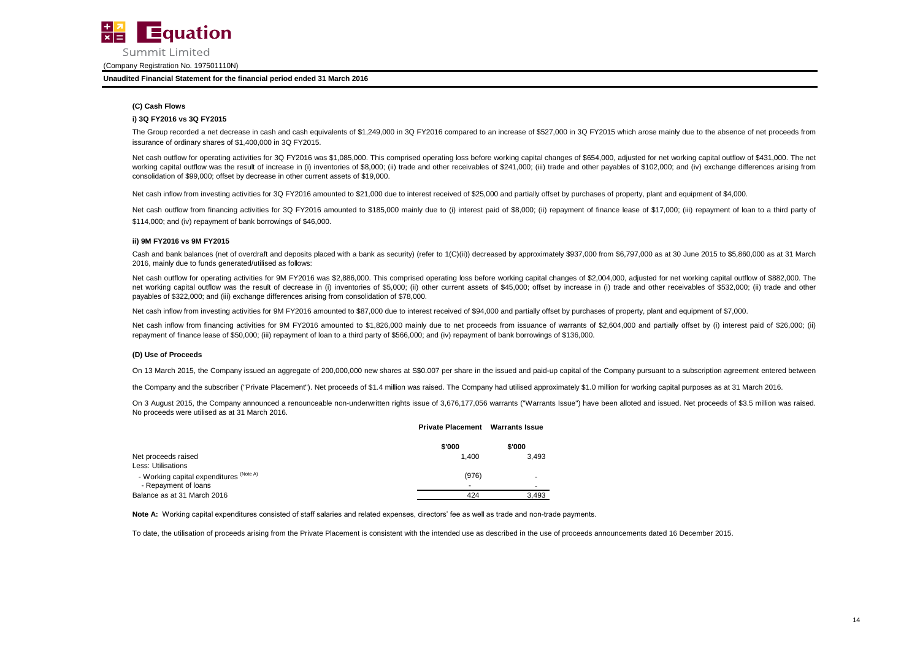

#### **Unaudited Financial Statement for the financial period ended 31 March 2016**

## **(C) Cash Flows**

#### **i) 3Q FY2016 vs 3Q FY2015**

The Group recorded a net decrease in cash and cash equivalents of \$1,249,000 in 3Q FY2016 compared to an increase of \$527,000 in 3Q FY2015 which arose mainly due to the absence of net proceeds from issurance of ordinary shares of \$1,400,000 in 3Q FY2015.

Net cash outflow for operating activities for 3Q FY2016 was \$1,085,000. This comprised operating loss before working capital changes of \$654,000, adjusted for net working capital outflow of \$431,000. The net working capital outflow was the result of increase in (i) inventories of \$8,000; (ii) trade and other receivables of \$241,000; (iii) trade and other payables of \$102,000; and (iv) exchange differences arising from consolidation of \$99,000; offset by decrease in other current assets of \$19,000.

Net cash inflow from investing activities for 3Q FY2016 amounted to \$21,000 due to interest received of \$25,000 and partially offset by purchases of property, plant and equipment of \$4,000.

Net cash outflow from financing activities for 3Q FY2016 amounted to \$185,000 mainly due to (i) interest paid of \$8,000; (ii) repayment of finance lease of \$17,000; (iii) repayment of loan to a third party of \$114,000; and (iv) repayment of bank borrowings of \$46,000.

#### **ii) 9M FY2016 vs 9M FY2015**

Cash and bank balances (net of overdraft and deposits placed with a bank as security) (refer to 1(C)(ii)) decreased by approximately \$937,000 from \$6,797,000 as at 30 June 2015 to \$5,860,000 as at 31 March 2016, mainly due to funds generated/utilised as follows:

Net cash outflow for operating activities for 9M FY2016 was \$2,886,000. This comprised operating loss before working capital changes of \$2,004,000, adjusted for net working capital outflow of \$882,000. The net working capital outflow was the result of decrease in (i) inventories of \$5,000; (ii) other current assets of \$45,000; offset by increase in (i) trade and other receivables of \$532,000; (ii) trade and other payables of \$322,000; and (iii) exchange differences arising from consolidation of \$78,000.

Net cash inflow from investing activities for 9M FY2016 amounted to \$87,000 due to interest received of \$94,000 and partially offset by purchases of property, plant and equipment of \$7,000.

Net cash inflow from financing activities for 9M FY2016 amounted to \$1,826,000 mainly due to net proceeds from issuance of warrants of \$2,604,000 and partially offset by (i) interest paid of \$26,000; (ii) repayment of finance lease of \$50,000; (iii) repayment of loan to a third party of \$566,000; and (iv) repayment of bank borrowings of \$136,000.

#### **(D) Use of Proceeds**

On 13 March 2015, the Company issued an aggregate of 200,000,000 new shares at \$\$0,007 per share in the issued and paid-up capital of the Company pursuant to a subscription agreement entered between

the Company and the subscriber ("Private Placement"). Net proceeds of \$1.4 million was raised. The Company had utilised approximately \$1.0 million for working capital purposes as at 31 March 2016.

On 3 August 2015, the Company announced a renounceable non-underwritten rights issue of 3,676,177,056 warrants I'Warrants Issue") have been alloted and issued. Net proceeds of \$3.5 million was raised. No proceeds were utilised as at 31 March 2016.

#### **Rights Issue Private Placement Warrants Issue**

|                                         | \$'000 | \$'000 |
|-----------------------------------------|--------|--------|
| Net proceeds raised                     | 1.400  | 3.493  |
| Less: Utilisations                      |        |        |
| - Working capital expenditures (Note A) | (976)  |        |
| - Repayment of loans                    |        |        |
| Balance as at 31 March 2016             | 424    | 3.493  |

Note A: Working capital expenditures consisted of staff salaries and related expenses, directors' fee as well as trade and non-trade payments.

To date, the utilisation of proceeds arising from the Private Placement is consistent with the intended use as described in the use of proceeds announcements dated 16 December 2015.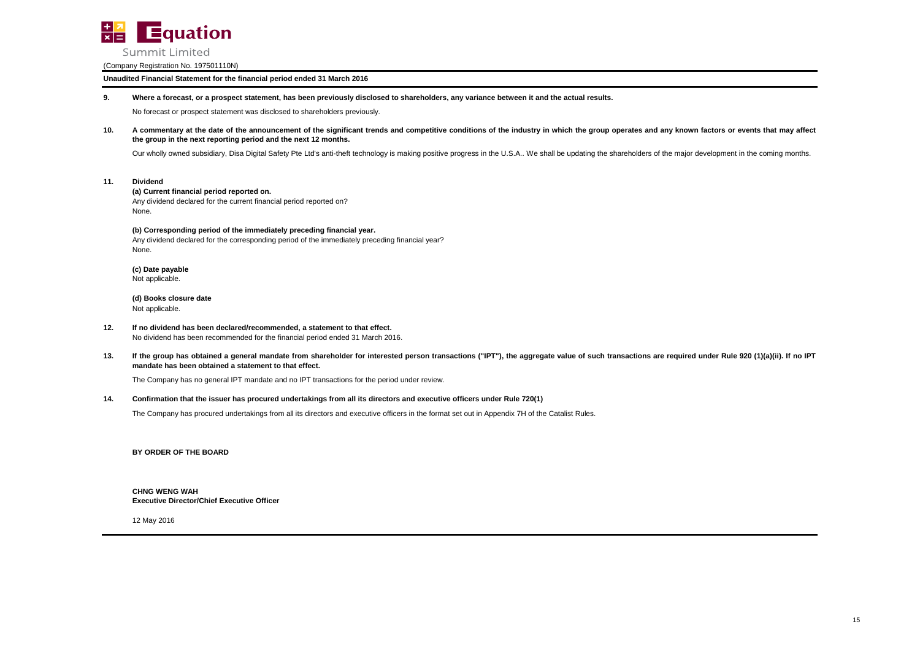

**Unaudited Financial Statement for the financial period ended 31 March 2016**

#### **9. Where a forecast, or a prospect statement, has been previously disclosed to shareholders, any variance between it and the actual results.**

No forecast or prospect statement was disclosed to shareholders previously.

**10.** A commentary at the date of the announcement of the significant trends and competitive conditions of the industry in which the group operates and any known factors or events that may affect **the group in the next reporting period and the next 12 months.**

Our wholly owned subsidiary, Disa Digital Safety Pte Ltd's anti-theft technology is making positive progress in the U.S.A.. We shall be updating the shareholders of the major development in the coming months.

**11. Dividend**

#### **(a) Current financial period reported on.**

Any dividend declared for the current financial period reported on? None.

#### **(b) Corresponding period of the immediately preceding financial year.**

Any dividend declared for the corresponding period of the immediately preceding financial year? None.

**(c) Date payable** Not applicable.

**(d) Books closure date** Not applicable.

- **12. If no dividend has been declared/recommended, a statement to that effect.** No dividend has been recommended for the financial period ended 31 March 2016.
- **13.** If the group has obtained a general mandate from shareholder for interested person transactions ("IPT"), the aggregate value of such transactions are required under Rule 920 (1)(a)(ii). If no IPT **mandate has been obtained a statement to that effect.**

The Company has no general IPT mandate and no IPT transactions for the period under review.

#### **14. Confirmation that the issuer has procured undertakings from all its directors and executive officers under Rule 720(1)**

The Company has procured undertakings from all its directors and executive officers in the format set out in Appendix 7H of the Catalist Rules.

**BY ORDER OF THE BOARD**

**CHNG WENG WAH Executive Director/Chief Executive Officer**

12 May 2016